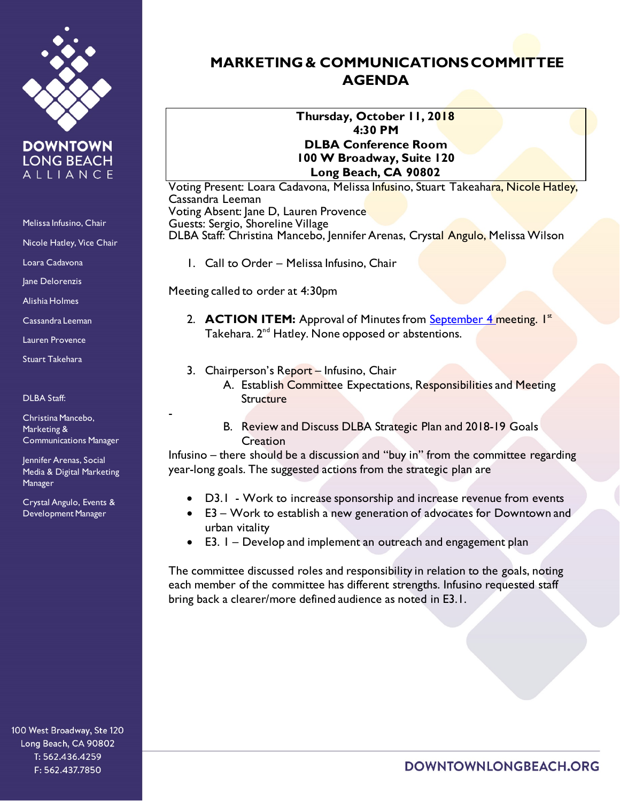

**DOWNTOWN LONG BEACH** ALLIANCE

Melissa Infusino, Chair

Nicole Hatley, Vice Chair

Loara Cadavona

Jane Delorenzis

Alishia Holmes

Cassandra Leeman

Lauren Provence

Stuart Takehara

DLBA Staff:

Christina Mancebo, Marketing & Communications Manager -

Jennifer Arenas, Social Media & Digital Marketing Manager

Crystal Angulo, Events & Development Manager

100 West Broadway, Ste 120 Long Beach, CA 90802 T: 562.436.4259 F: 562.437.7850

## **MARKETING & COMMUNICATIONS COMMITTEE AGENDA**

**Thursday, October 11, 2018 4:30 PM DLBA Conference Room 100 W Broadway, Suite 120 Long Beach, CA 90802**

Voting Present: Loara Cadavona, Melissa I<mark>nfus</mark>ino, Stuart Takeaha<mark>ra, Nicole Hatley,</mark> Cassandra Leeman Voting Absent: Jane D, Lauren Provence Guests: Sergio, Shoreline Village DLBA Staff: Christina Mancebo, Jennifer Arenas, Crystal Angulo, Melissa Wilson

1. Call to Order – Melissa Infusino, Chair

Meeting called to order at 4:30pm

- 2. **ACTION ITEM:** Approval of Minutes from **September 4 meeting.** I<sup>st</sup> Takehara.  $2^{nd}$  Hatley. None opposed or abstentions.
- 3. Chairperson's Report Infusino, Chair

A. Establish Committee Expectations, Responsibilities and Meeting **Structure** 

B. Review and Discuss DLBA Strategic Plan and 2018-19 Goals **Creation** 

Infusino – there should be a discussion and "buy in" from the committee regarding year-long goals. The suggested actions from the strategic plan are

- D3.1 Work to increase sponsorship and increase revenue from events
- E3 Work to establish a new generation of advocates for Downtown and urban vitality
- E3. 1 Develop and implement an outreach and engagement plan

The committee discussed roles and responsibility in relation to the goals, noting each member of the committee has different strengths. Infusino requested staff bring back a clearer/more defined audience as noted in E3.1.